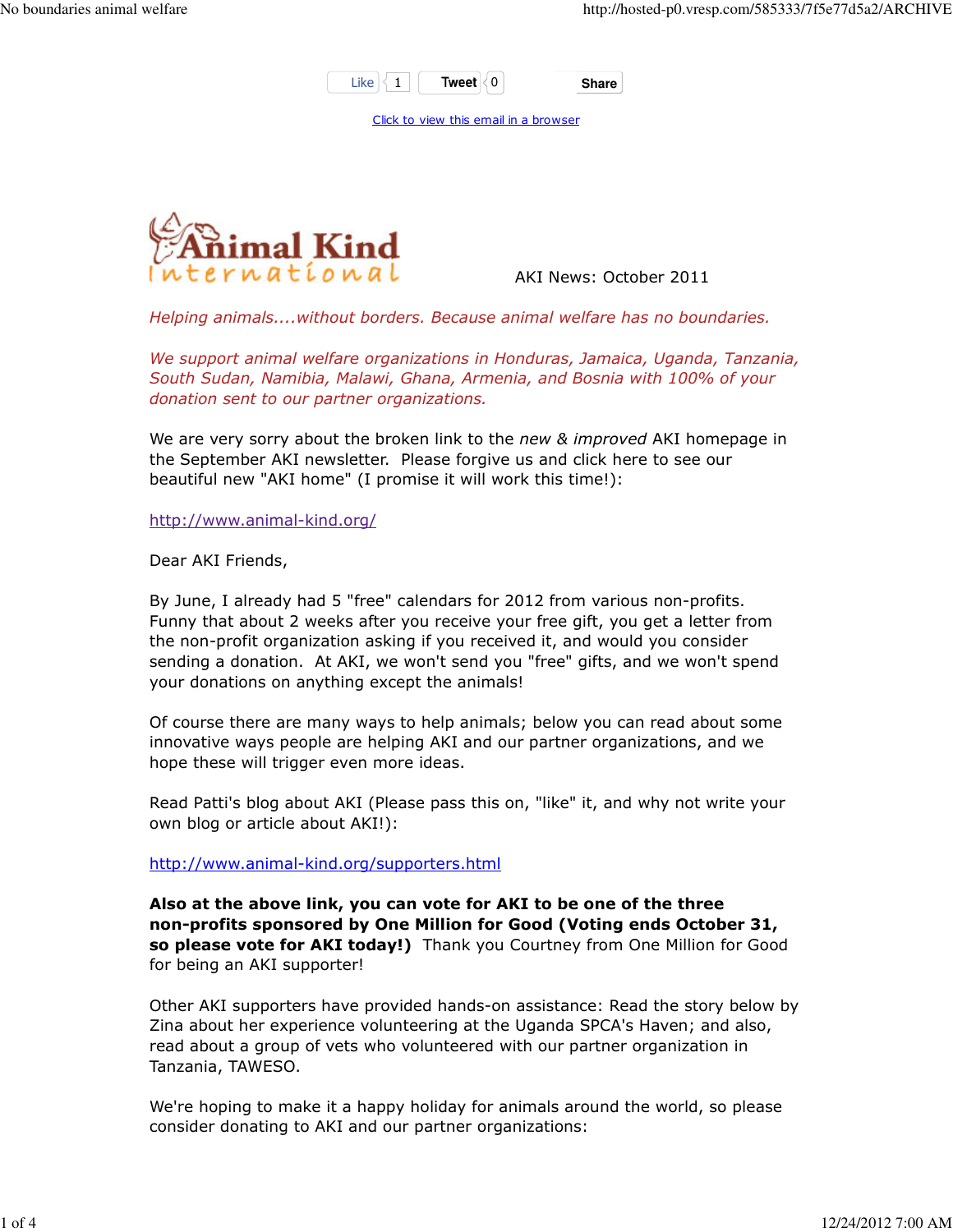

Click to view this email in a browser



AKI News: October 2011

Helping animals....without borders. Because animal welfare has no boundaries.

We support animal welfare organizations in Honduras, Jamaica, Uganda, Tanzania, South Sudan, Namibia, Malawi, Ghana, Armenia, and Bosnia with 100% of your donation sent to our partner organizations.

We are very sorry about the broken link to the new & improved AKI homepage in the September AKI newsletter. Please forgive us and click here to see our beautiful new "AKI home" (I promise it will work this time!):

http://www.animal-kind.org/

Dear AKI Friends,

By June, I already had 5 "free" calendars for 2012 from various non-profits. Funny that about 2 weeks after you receive your free gift, you get a letter from the non-profit organization asking if you received it, and would you consider sending a donation. At AKI, we won't send you "free" gifts, and we won't spend your donations on anything except the animals!

Of course there are many ways to help animals; below you can read about some innovative ways people are helping AKI and our partner organizations, and we hope these will trigger even more ideas.

Read Patti's blog about AKI (Please pass this on, "like" it, and why not write your own blog or article about AKI!):

http://www.animal-kind.org/supporters.html

Also at the above link, you can vote for AKI to be one of the three non-profits sponsored by One Million for Good (Voting ends October 31, so please vote for AKI today!) Thank you Courtney from One Million for Good for being an AKI supporter!

Other AKI supporters have provided hands-on assistance: Read the story below by Zina about her experience volunteering at the Uganda SPCA's Haven; and also, read about a group of vets who volunteered with our partner organization in Tanzania, TAWESO.

We're hoping to make it a happy holiday for animals around the world, so please consider donating to AKI and our partner organizations: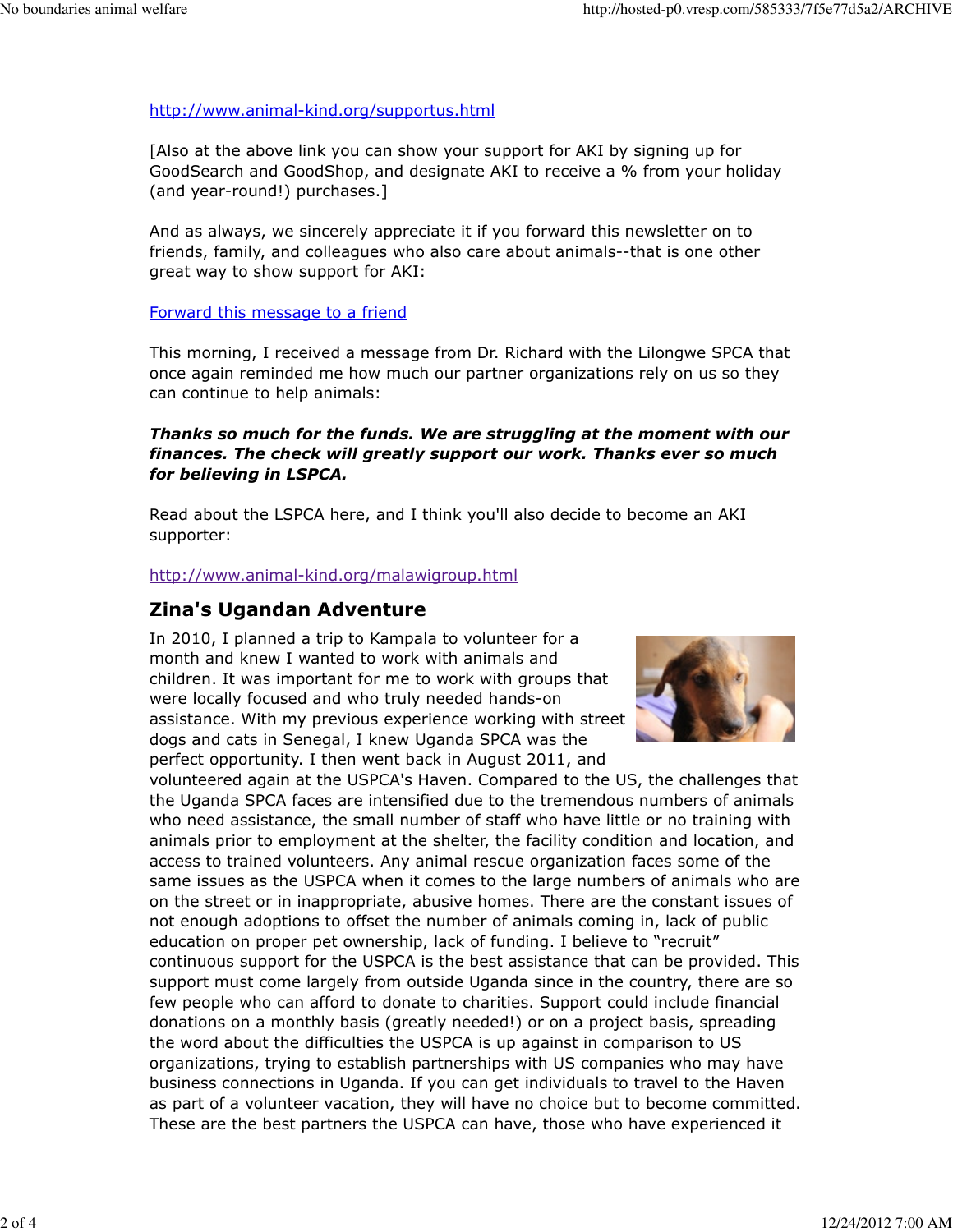#### http://www.animal-kind.org/supportus.html

[Also at the above link you can show your support for AKI by signing up for GoodSearch and GoodShop, and designate AKI to receive a % from your holiday (and year-round!) purchases.]

And as always, we sincerely appreciate it if you forward this newsletter on to friends, family, and colleagues who also care about animals--that is one other great way to show support for AKI:

#### Forward this message to a friend

This morning, I received a message from Dr. Richard with the Lilongwe SPCA that once again reminded me how much our partner organizations rely on us so they can continue to help animals:

### Thanks so much for the funds. We are struggling at the moment with our finances. The check will greatly support our work. Thanks ever so much for believing in LSPCA.

Read about the LSPCA here, and I think you'll also decide to become an AKI supporter:

http://www.animal-kind.org/malawigroup.html

# Zina's Ugandan Adventure

In 2010, I planned a trip to Kampala to volunteer for a month and knew I wanted to work with animals and children. It was important for me to work with groups that were locally focused and who truly needed hands-on assistance. With my previous experience working with street dogs and cats in Senegal, I knew Uganda SPCA was the perfect opportunity. I then went back in August 2011, and



volunteered again at the USPCA's Haven. Compared to the US, the challenges that the Uganda SPCA faces are intensified due to the tremendous numbers of animals who need assistance, the small number of staff who have little or no training with animals prior to employment at the shelter, the facility condition and location, and access to trained volunteers. Any animal rescue organization faces some of the same issues as the USPCA when it comes to the large numbers of animals who are on the street or in inappropriate, abusive homes. There are the constant issues of not enough adoptions to offset the number of animals coming in, lack of public education on proper pet ownership, lack of funding. I believe to "recruit" continuous support for the USPCA is the best assistance that can be provided. This support must come largely from outside Uganda since in the country, there are so few people who can afford to donate to charities. Support could include financial donations on a monthly basis (greatly needed!) or on a project basis, spreading the word about the difficulties the USPCA is up against in comparison to US organizations, trying to establish partnerships with US companies who may have business connections in Uganda. If you can get individuals to travel to the Haven as part of a volunteer vacation, they will have no choice but to become committed. These are the best partners the USPCA can have, those who have experienced it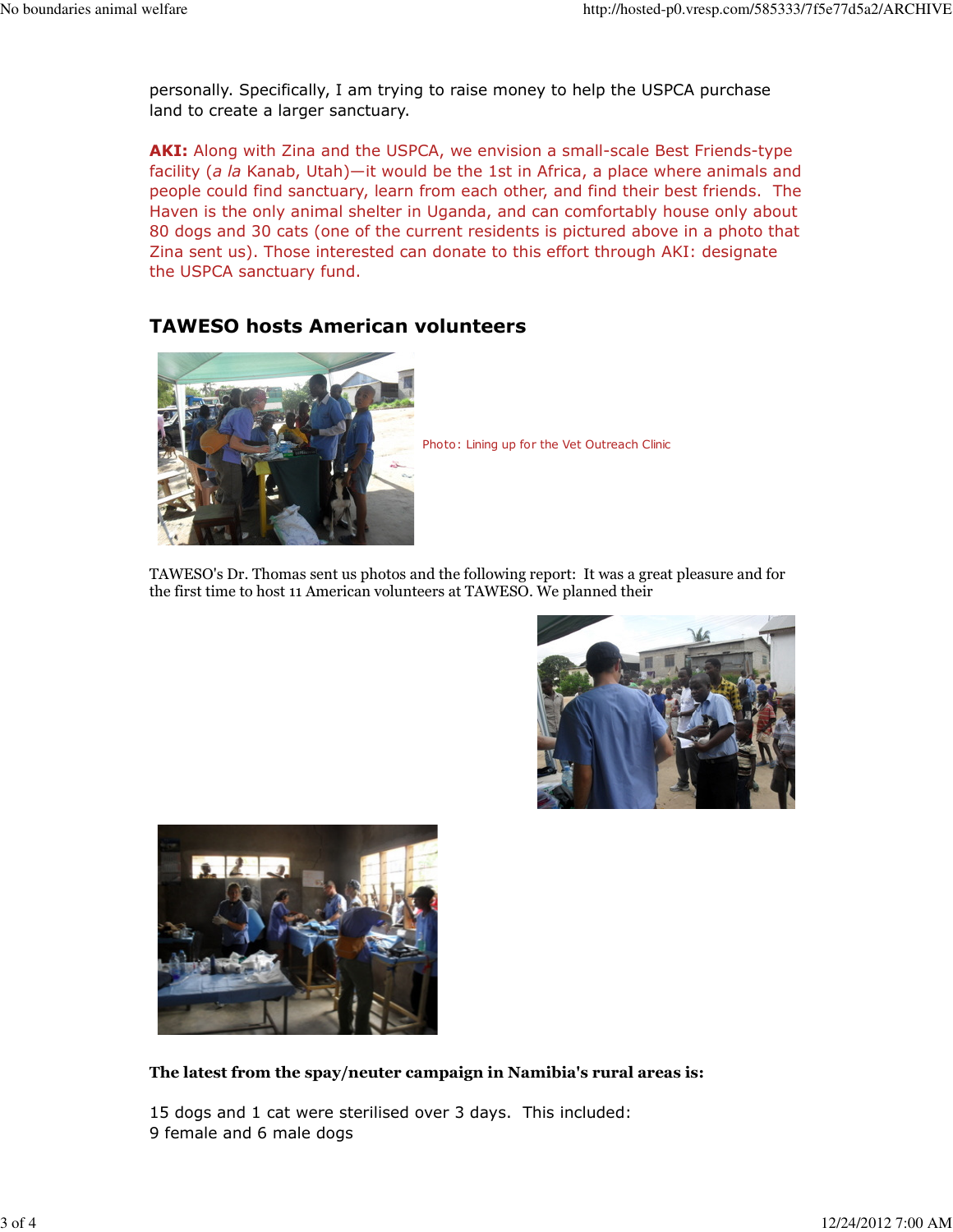personally. Specifically, I am trying to raise money to help the USPCA purchase land to create a larger sanctuary.

AKI: Along with Zina and the USPCA, we envision a small-scale Best Friends-type facility (a la Kanab, Utah)—it would be the 1st in Africa, a place where animals and people could find sanctuary, learn from each other, and find their best friends. The Haven is the only animal shelter in Uganda, and can comfortably house only about 80 dogs and 30 cats (one of the current residents is pictured above in a photo that Zina sent us). Those interested can donate to this effort through AKI: designate the USPCA sanctuary fund.

## TAWESO hosts American volunteers



Photo: Lining up for the Vet Outreach Clinic

TAWESO's Dr. Thomas sent us photos and the following report: It was a great pleasure and for the first time to host 11 American volunteers at TAWESO. We planned their





The latest from the spay/neuter campaign in Namibia's rural areas is:

15 dogs and 1 cat were sterilised over 3 days. This included: 9 female and 6 male dogs